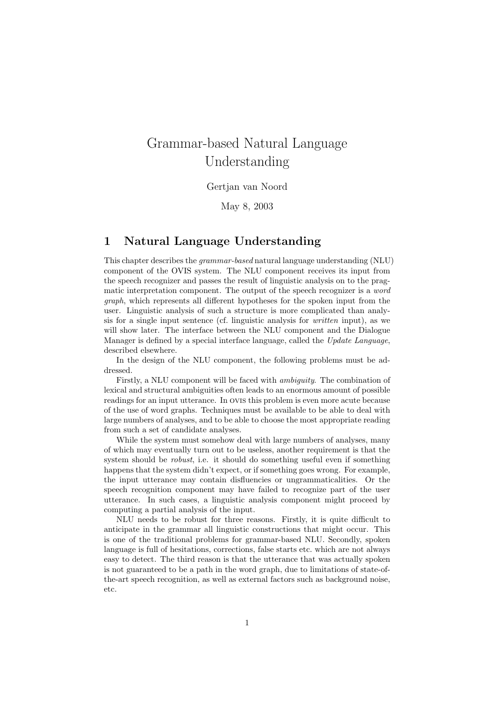# Grammar-based Natural Language Understanding

### Gertjan van Noord

May 8, 2003

# 1 Natural Language Understanding

This chapter describes the grammar-based natural language understanding (NLU) component of the OVIS system. The NLU component receives its input from the speech recognizer and passes the result of linguistic analysis on to the pragmatic interpretation component. The output of the speech recognizer is a word graph, which represents all different hypotheses for the spoken input from the user. Linguistic analysis of such a structure is more complicated than analysis for a single input sentence (cf. linguistic analysis for written input), as we will show later. The interface between the NLU component and the Dialogue Manager is defined by a special interface language, called the Update Language, described elsewhere.

In the design of the NLU component, the following problems must be addressed.

Firstly, a NLU component will be faced with ambiguity. The combination of lexical and structural ambiguities often leads to an enormous amount of possible readings for an input utterance. In ovis this problem is even more acute because of the use of word graphs. Techniques must be available to be able to deal with large numbers of analyses, and to be able to choose the most appropriate reading from such a set of candidate analyses.

While the system must somehow deal with large numbers of analyses, many of which may eventually turn out to be useless, another requirement is that the system should be *robust*, i.e. it should do something useful even if something happens that the system didn't expect, or if something goes wrong. For example, the input utterance may contain disfluencies or ungrammaticalities. Or the speech recognition component may have failed to recognize part of the user utterance. In such cases, a linguistic analysis component might proceed by computing a partial analysis of the input.

NLU needs to be robust for three reasons. Firstly, it is quite difficult to anticipate in the grammar all linguistic constructions that might occur. This is one of the traditional problems for grammar-based NLU. Secondly, spoken language is full of hesitations, corrections, false starts etc. which are not always easy to detect. The third reason is that the utterance that was actually spoken is not guaranteed to be a path in the word graph, due to limitations of state-ofthe-art speech recognition, as well as external factors such as background noise, etc.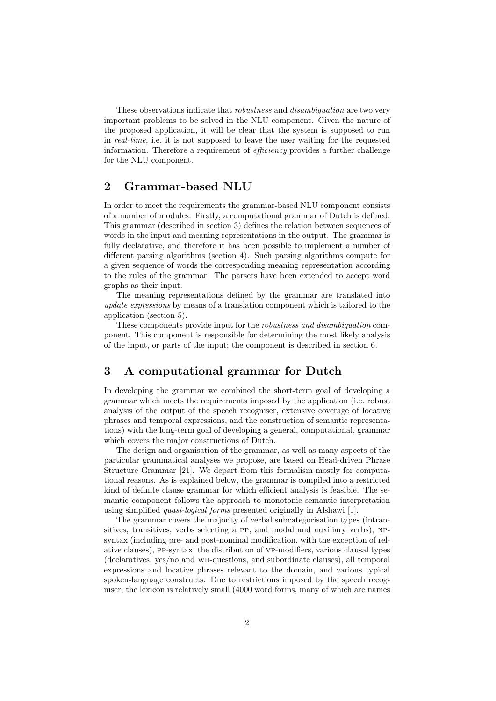These observations indicate that robustness and disambiguation are two very important problems to be solved in the NLU component. Given the nature of the proposed application, it will be clear that the system is supposed to run in real-time, i.e. it is not supposed to leave the user waiting for the requested information. Therefore a requirement of efficiency provides a further challenge for the NLU component.

# 2 Grammar-based NLU

In order to meet the requirements the grammar-based NLU component consists of a number of modules. Firstly, a computational grammar of Dutch is defined. This grammar (described in section 3) defines the relation between sequences of words in the input and meaning representations in the output. The grammar is fully declarative, and therefore it has been possible to implement a number of different parsing algorithms (section 4). Such parsing algorithms compute for a given sequence of words the corresponding meaning representation according to the rules of the grammar. The parsers have been extended to accept word graphs as their input.

The meaning representations defined by the grammar are translated into update expressions by means of a translation component which is tailored to the application (section 5).

These components provide input for the robustness and disambiguation component. This component is responsible for determining the most likely analysis of the input, or parts of the input; the component is described in section 6.

# 3 A computational grammar for Dutch

In developing the grammar we combined the short-term goal of developing a grammar which meets the requirements imposed by the application (i.e. robust analysis of the output of the speech recogniser, extensive coverage of locative phrases and temporal expressions, and the construction of semantic representations) with the long-term goal of developing a general, computational, grammar which covers the major constructions of Dutch.

The design and organisation of the grammar, as well as many aspects of the particular grammatical analyses we propose, are based on Head-driven Phrase Structure Grammar [21]. We depart from this formalism mostly for computational reasons. As is explained below, the grammar is compiled into a restricted kind of definite clause grammar for which efficient analysis is feasible. The semantic component follows the approach to monotonic semantic interpretation using simplified quasi-logical forms presented originally in Alshawi [1].

The grammar covers the majority of verbal subcategorisation types (intransitives, transitives, verbs selecting a pp, and modal and auxiliary verbs), npsyntax (including pre- and post-nominal modification, with the exception of relative clauses), pp-syntax, the distribution of vp-modifiers, various clausal types (declaratives, yes/no and wh-questions, and subordinate clauses), all temporal expressions and locative phrases relevant to the domain, and various typical spoken-language constructs. Due to restrictions imposed by the speech recogniser, the lexicon is relatively small (4000 word forms, many of which are names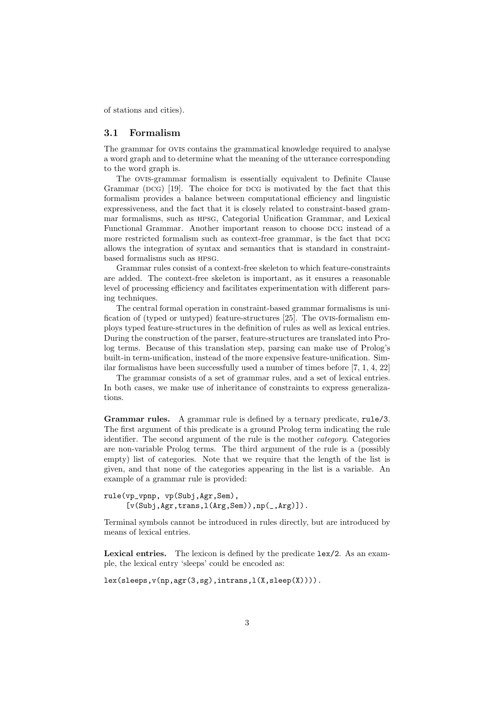of stations and cities).

#### 3.1 Formalism

The grammar for ovis contains the grammatical knowledge required to analyse a word graph and to determine what the meaning of the utterance corresponding to the word graph is.

The ovis-grammar formalism is essentially equivalent to Definite Clause Grammar ( $DCG$ ) [19]. The choice for DCG is motivated by the fact that this formalism provides a balance between computational efficiency and linguistic expressiveness, and the fact that it is closely related to constraint-based grammar formalisms, such as hpsg, Categorial Unification Grammar, and Lexical Functional Grammar. Another important reason to choose DCG instead of a more restricted formalism such as context-free grammar, is the fact that DCG allows the integration of syntax and semantics that is standard in constraintbased formalisms such as hpsg.

Grammar rules consist of a context-free skeleton to which feature-constraints are added. The context-free skeleton is important, as it ensures a reasonable level of processing efficiency and facilitates experimentation with different parsing techniques.

The central formal operation in constraint-based grammar formalisms is unification of (typed or untyped) feature-structures [25]. The ovis-formalism employs typed feature-structures in the definition of rules as well as lexical entries. During the construction of the parser, feature-structures are translated into Prolog terms. Because of this translation step, parsing can make use of Prolog's built-in term-unification, instead of the more expensive feature-unification. Similar formalisms have been successfully used a number of times before [7, 1, 4, 22]

The grammar consists of a set of grammar rules, and a set of lexical entries. In both cases, we make use of inheritance of constraints to express generalizations.

Grammar rules. A grammar rule is defined by a ternary predicate, rule/3. The first argument of this predicate is a ground Prolog term indicating the rule identifier. The second argument of the rule is the mother category. Categories are non-variable Prolog terms. The third argument of the rule is a (possibly empty) list of categories. Note that we require that the length of the list is given, and that none of the categories appearing in the list is a variable. An example of a grammar rule is provided:

rule(vp\_vpnp, vp(Subj,Agr,Sem),  $[v(Subj, Agr, trans, l(Arg, Sem)), np($ ,  $Arg)]$ .

Terminal symbols cannot be introduced in rules directly, but are introduced by means of lexical entries.

Lexical entries. The lexicon is defined by the predicate lex/2. As an example, the lexical entry 'sleeps' could be encoded as:

lex(sleeps,v(np,agr(3,sg),intrans,l(X,sleep(X)))).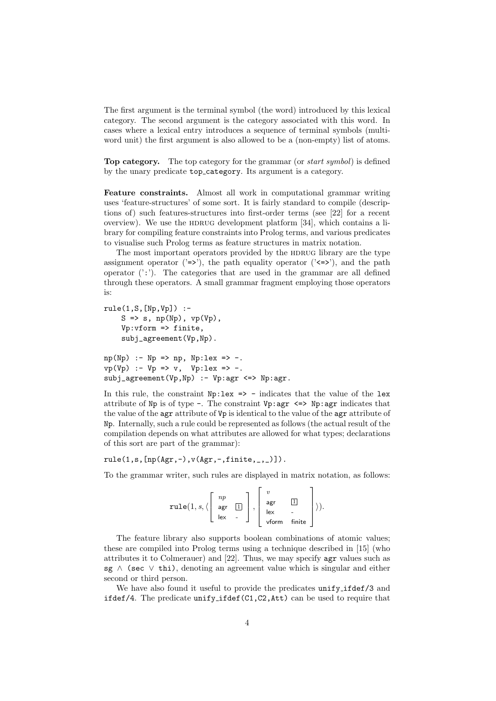The first argument is the terminal symbol (the word) introduced by this lexical category. The second argument is the category associated with this word. In cases where a lexical entry introduces a sequence of terminal symbols (multiword unit) the first argument is also allowed to be a (non-empty) list of atoms.

**Top category.** The top category for the grammar (or *start symbol*) is defined by the unary predicate top category. Its argument is a category.

Feature constraints. Almost all work in computational grammar writing uses 'feature-structures' of some sort. It is fairly standard to compile (descriptions of) such features-structures into first-order terms (see [22] for a recent overview). We use the HDRUG development platform  $[34]$ , which contains a library for compiling feature constraints into Prolog terms, and various predicates to visualise such Prolog terms as feature structures in matrix notation.

The most important operators provided by the HDRUG library are the type assignment operator  $('=>')$ , the path equality operator  $('<=>')$ , and the path operator  $(':')$ . The categories that are used in the grammar are all defined through these operators. A small grammar fragment employing those operators is:

 $rule(1,S,[Np,Vp])$  :- $S \implies s$ ,  $np(Np)$ ,  $vp(Vp)$ ,  $Vp:vform \Rightarrow finite,$ subj\_agreement(Vp,Np).

```
np(Np) :- Np \Rightarrow np, Np: \text{lex} \Rightarrow -.
vp(Vp) :- Vp \Rightarrow v, Vp: lex \Rightarrow -.
subj_agreement(Vp,Np) :- Vp:agr <=> Np:agr.
```
In this rule, the constraint  $Np:lex => -$  indicates that the value of the lex attribute of Np is of type -. The constraint  $Vp:agr \leq> Np:agr$  indicates that the value of the agr attribute of  $Vp$  is identical to the value of the agr attribute of Np. Internally, such a rule could be represented as follows (the actual result of the compilation depends on what attributes are allowed for what types; declarations of this sort are part of the grammar):

rule(1,s,[np(Agr,-),v(Agr,-,finite,\_,\_)]).

To the grammar writer, such rules are displayed in matrix notation, as follows:

| np<br>$rule(1, s, \langle$<br>囸<br>agr<br>lex | $\boldsymbol{v}$<br>agr<br>lex<br>vform | finite |  |
|-----------------------------------------------|-----------------------------------------|--------|--|
|-----------------------------------------------|-----------------------------------------|--------|--|

The feature library also supports boolean combinations of atomic values; these are compiled into Prolog terms using a technique described in [15] (who attributes it to Colmerauer) and [22]. Thus, we may specify agr values such as sg ∧ (sec ∨ thi), denoting an agreement value which is singular and either second or third person.

We have also found it useful to provide the predicates  $\text{unify\_ifdef}/3$  and ifdef/4. The predicate unify-ifdef( $C1, C2, Att$ ) can be used to require that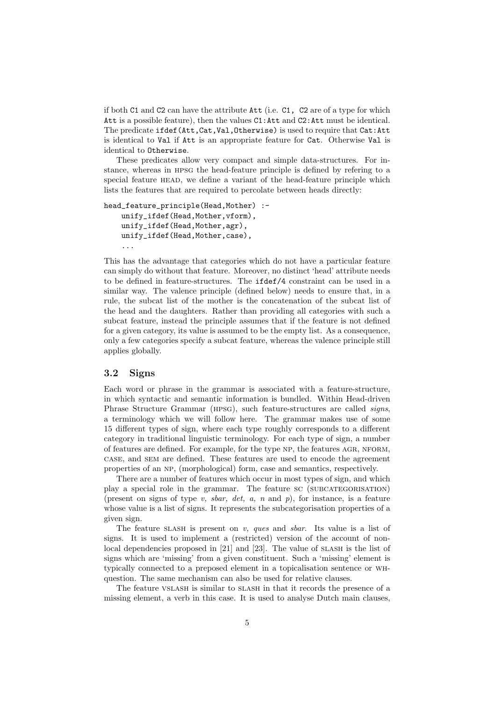if both C1 and C2 can have the attribute Att (i.e. C1, C2 are of a type for which Att is a possible feature), then the values C1:Att and C2:Att must be identical. The predicate ifdef(Att,Cat,Val,Otherwise) is used to require that Cat:Att is identical to Val if Att is an appropriate feature for Cat. Otherwise Val is identical to Otherwise.

These predicates allow very compact and simple data-structures. For instance, whereas in hpsg the head-feature principle is defined by refering to a special feature HEAD, we define a variant of the head-feature principle which lists the features that are required to percolate between heads directly:

```
head_feature_principle(Head,Mother) :-
    unify_ifdef(Head,Mother,vform),
    unify_ifdef(Head,Mother,agr),
    unify_ifdef(Head,Mother,case),
    ...
```
This has the advantage that categories which do not have a particular feature can simply do without that feature. Moreover, no distinct 'head' attribute needs to be defined in feature-structures. The ifdef/4 constraint can be used in a similar way. The valence principle (defined below) needs to ensure that, in a rule, the subcat list of the mother is the concatenation of the subcat list of the head and the daughters. Rather than providing all categories with such a subcat feature, instead the principle assumes that if the feature is not defined for a given category, its value is assumed to be the empty list. As a consequence, only a few categories specify a subcat feature, whereas the valence principle still applies globally.

#### 3.2 Signs

Each word or phrase in the grammar is associated with a feature-structure, in which syntactic and semantic information is bundled. Within Head-driven Phrase Structure Grammar (HPSG), such feature-structures are called *signs*, a terminology which we will follow here. The grammar makes use of some 15 different types of sign, where each type roughly corresponds to a different category in traditional linguistic terminology. For each type of sign, a number of features are defined. For example, for the type np, the features agr, nform, case, and sem are defined. These features are used to encode the agreement properties of an NP, (morphological) form, case and semantics, respectively.

There are a number of features which occur in most types of sign, and which play a special role in the grammar. The feature sc (subcategorisation) (present on signs of type  $v$ , sbar, det,  $a$ ,  $n$  and  $p$ ), for instance, is a feature whose value is a list of signs. It represents the subcategorisation properties of a given sign.

The feature SLASH is present on  $v$ , ques and sbar. Its value is a list of signs. It is used to implement a (restricted) version of the account of nonlocal dependencies proposed in  $[21]$  and  $[23]$ . The value of SLASH is the list of signs which are 'missing' from a given constituent. Such a 'missing' element is typically connected to a preposed element in a topicalisation sentence or whquestion. The same mechanism can also be used for relative clauses.

The feature VSLASH is similar to SLASH in that it records the presence of a missing element, a verb in this case. It is used to analyse Dutch main clauses,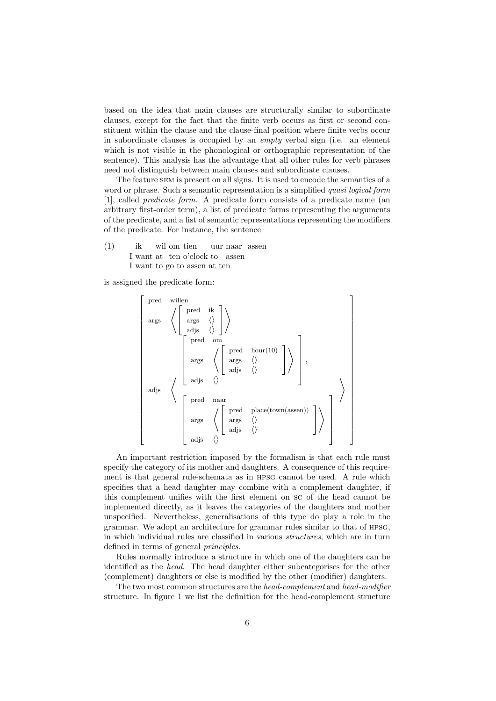based on the idea that main clauses are structurally similar to subordinate clauses, except for the fact that the finite verb occurs as first or second constituent within the clause and the clause-final position where finite verbs occur in subordinate clauses is occupied by an empty verbal sign (i.e. an element which is not visible in the phonological or orthographic representation of the sentence). This analysis has the advantage that all other rules for verb phrases need not distinguish between main clauses and subordinate clauses.

The feature sem is present on all signs. It is used to encode the semantics of a word or phrase. Such a semantic representation is a simplified quasi logical form [1], called predicate form. A predicate form consists of a predicate name (an arbitrary first-order term), a list of predicate forms representing the arguments of the predicate, and a list of semantic representations representing the modifiers of the predicate. For instance, the sentence

(1) I want at ten o'clock to assen ik wil om tien uur naar assen I want to go to assen at ten

is assigned the predicate form:



An important restriction imposed by the formalism is that each rule must specify the category of its mother and daughters. A consequence of this requirement is that general rule-schemata as in hpsg cannot be used. A rule which specifies that a head daughter may combine with a complement daughter, if this complement unifies with the first element on sc of the head cannot be implemented directly, as it leaves the categories of the daughters and mother unspecified. Nevertheless, generalisations of this type do play a role in the grammar. We adopt an architecture for grammar rules similar to that of hpsg, in which individual rules are classified in various structures, which are in turn defined in terms of general principles.

Rules normally introduce a structure in which one of the daughters can be identified as the head. The head daughter either subcategorises for the other (complement) daughters or else is modified by the other (modifier) daughters.

The two most common structures are the head-complement and head-modifier structure. In figure 1 we list the definition for the head-complement structure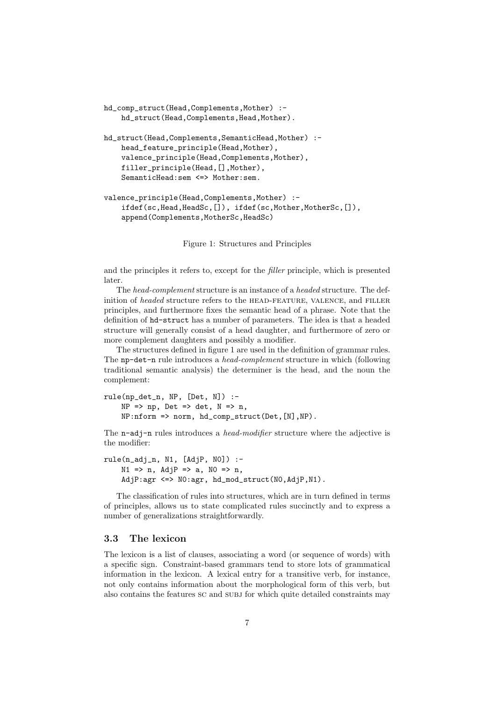```
hd_comp_struct(Head,Complements,Mother) :-
    hd_struct(Head,Complements,Head,Mother).
hd_struct(Head,Complements,SemanticHead,Mother) :-
    head_feature_principle(Head,Mother),
    valence_principle(Head,Complements,Mother),
    filler_principle(Head,[],Mother),
    SemanticHead:sem <=> Mother:sem.
valence_principle(Head,Complements,Mother) :-
    ifdef(sc,Head,HeadSc,[]), ifdef(sc,Mother,MotherSc,[]),
    append(Complements,MotherSc,HeadSc)
```
Figure 1: Structures and Principles

and the principles it refers to, except for the filler principle, which is presented later.

The head-complement structure is an instance of a headed structure. The definition of *headed* structure refers to the HEAD-FEATURE, VALENCE, and FILLER principles, and furthermore fixes the semantic head of a phrase. Note that the definition of hd-struct has a number of parameters. The idea is that a headed structure will generally consist of a head daughter, and furthermore of zero or more complement daughters and possibly a modifier.

The structures defined in figure 1 are used in the definition of grammar rules. The np-det-n rule introduces a head-complement structure in which (following traditional semantic analysis) the determiner is the head, and the noun the complement:

```
rule(np\_det_n, NP, [Det, N]) :-
    NP => np. Det => det. N => n.
    NP: nform \Rightarrow norm, hd\_comp\_struct(Det, [N], NP).
```
The n-adj-n rules introduces a *head-modifier* structure where the adjective is the modifier:

```
rule(n_adj_n, N1, [AdjP, N0]) :-
    N1 \Rightarrow n, AdjP \Rightarrow a, NO \Rightarrow n,
    AdjP:agr <=> N0:agr, hd_mod_struct(N0,AdjP,N1).
```
The classification of rules into structures, which are in turn defined in terms of principles, allows us to state complicated rules succinctly and to express a number of generalizations straightforwardly.

#### 3.3 The lexicon

The lexicon is a list of clauses, associating a word (or sequence of words) with a specific sign. Constraint-based grammars tend to store lots of grammatical information in the lexicon. A lexical entry for a transitive verb, for instance, not only contains information about the morphological form of this verb, but also contains the features sc and subj for which quite detailed constraints may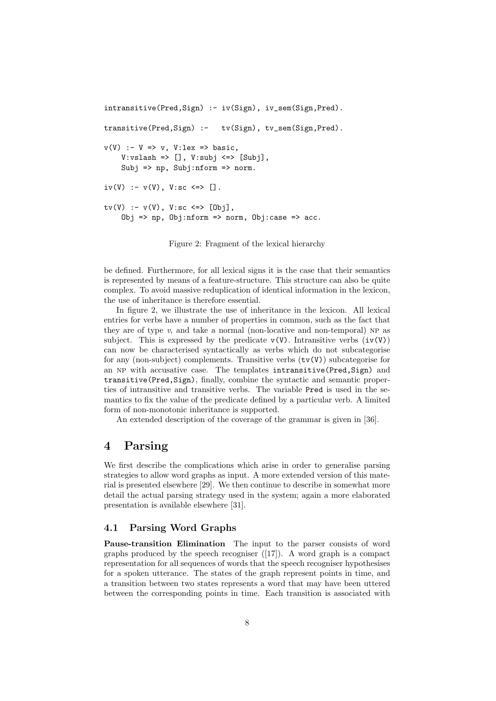```
intransitive(Pred,Sign) :- iv(Sign), iv_sem(Sign,Pred).
transitive(Pred,Sign) :- tv(Sign), tv_sem(Sign,Pred).
v(V) :- V \Rightarrow v, V: \text{lex} \Rightarrow \text{basic},
    V:vslash \Rightarrow [], V:subj \iff [Subj],
    Subj \Rightarrow np, Subj:nform \Rightarrow norm.
iv(V) := v(V), V:sc \iff [].
tv(V) :- v(V), V:sc <=> [Obj],
    Obj => np. Obj:nform => norm, Obj:case => acc.
```
Figure 2: Fragment of the lexical hierarchy

be defined. Furthermore, for all lexical signs it is the case that their semantics is represented by means of a feature-structure. This structure can also be quite complex. To avoid massive reduplication of identical information in the lexicon, the use of inheritance is therefore essential.

In figure 2, we illustrate the use of inheritance in the lexicon. All lexical entries for verbs have a number of properties in common, such as the fact that they are of type  $v$ , and take a normal (non-locative and non-temporal) NP as subject. This is expressed by the predicate  $v(V)$ . Intransitive verbs  $(iv(V))$ can now be characterised syntactically as verbs which do not subcategorise for any (non-subject) complements. Transitive verbs  $({\tt tv}(V))$  subcategorise for an NP with accusative case. The templates intransitive(Pred, Sign) and transitive(Pred,Sign), finally, combine the syntactic and semantic properties of intransitive and transitive verbs. The variable Pred is used in the semantics to fix the value of the predicate defined by a particular verb. A limited form of non-monotonic inheritance is supported.

An extended description of the coverage of the grammar is given in [36].

### 4 Parsing

We first describe the complications which arise in order to generalise parsing strategies to allow word graphs as input. A more extended version of this material is presented elsewhere [29]. We then continue to describe in somewhat more detail the actual parsing strategy used in the system; again a more elaborated presentation is available elsewhere [31].

#### 4.1 Parsing Word Graphs

Pause-transition Elimination The input to the parser consists of word graphs produced by the speech recogniser  $([17])$ . A word graph is a compact representation for all sequences of words that the speech recogniser hypothesises for a spoken utterance. The states of the graph represent points in time, and a transition between two states represents a word that may have been uttered between the corresponding points in time. Each transition is associated with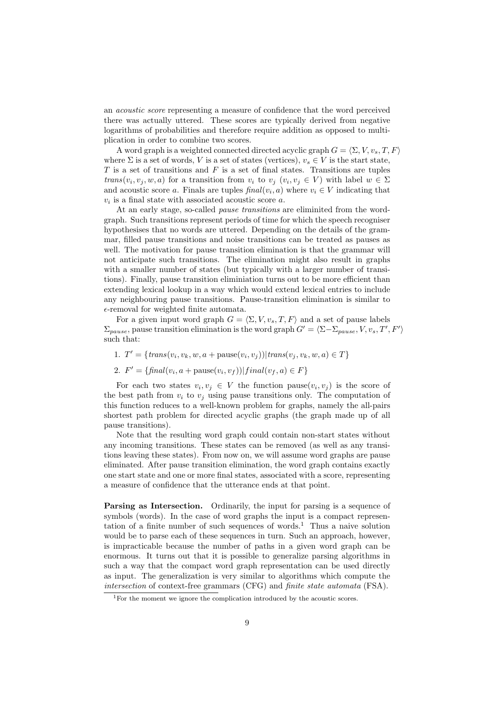an acoustic score representing a measure of confidence that the word perceived there was actually uttered. These scores are typically derived from negative logarithms of probabilities and therefore require addition as opposed to multiplication in order to combine two scores.

A word graph is a weighted connected directed acyclic graph  $G = \langle \Sigma, V, v_s, T, F \rangle$ where  $\Sigma$  is a set of words, V is a set of states (vertices),  $v_s \in V$  is the start state, T is a set of transitions and F is a set of final states. Transitions are tuples  $trans(v_i, v_j, w, a)$  for a transition from  $v_i$  to  $v_j$   $(v_i, v_j \in V)$  with label  $w \in \Sigma$ and acoustic score a. Finals are tuples  $\text{final}(v_i, a)$  where  $v_i \in V$  indicating that  $v_i$  is a final state with associated acoustic score  $a$ .

At an early stage, so-called *pause transitions* are eliminited from the wordgraph. Such transitions represent periods of time for which the speech recogniser hypothesises that no words are uttered. Depending on the details of the grammar, filled pause transitions and noise transitions can be treated as pauses as well. The motivation for pause transition elimination is that the grammar will not anticipate such transitions. The elimination might also result in graphs with a smaller number of states (but typically with a larger number of transitions). Finally, pause transition eliminiation turns out to be more efficient than extending lexical lookup in a way which would extend lexical entries to include any neighbouring pause transitions. Pause-transition elimination is similar to  $\epsilon$ -removal for weighted finite automata.

For a given input word graph  $G = \langle \Sigma, V, v_s, T, F \rangle$  and a set of pause labels  $\Sigma_{pause}$ , pause transition elimination is the word graph  $G' = \langle \Sigma - \Sigma_{pause}, V, v_s, T', F' \rangle$ such that:

1.  $T' = \{trans(v_i, v_k, w, a + pause(v_i, v_j)) | trans(v_j, v_k, w, a) \in T\}$ 

2.  $F' = \{ \text{final}(v_i, a + \text{pause}(v_i, v_f)) | \text{final}(v_f, a) \in F \}$ 

For each two states  $v_i, v_j \in V$  the function pause $(v_i, v_j)$  is the score of the best path from  $v_i$  to  $v_j$  using pause transitions only. The computation of this function reduces to a well-known problem for graphs, namely the all-pairs shortest path problem for directed acyclic graphs (the graph made up of all pause transitions).

Note that the resulting word graph could contain non-start states without any incoming transitions. These states can be removed (as well as any transitions leaving these states). From now on, we will assume word graphs are pause eliminated. After pause transition elimination, the word graph contains exactly one start state and one or more final states, associated with a score, representing a measure of confidence that the utterance ends at that point.

Parsing as Intersection. Ordinarily, the input for parsing is a sequence of symbols (words). In the case of word graphs the input is a compact representation of a finite number of such sequences of words.<sup>1</sup> Thus a naive solution would be to parse each of these sequences in turn. Such an approach, however, is impracticable because the number of paths in a given word graph can be enormous. It turns out that it is possible to generalize parsing algorithms in such a way that the compact word graph representation can be used directly as input. The generalization is very similar to algorithms which compute the intersection of context-free grammars (CFG) and finite state automata (FSA).

<sup>&</sup>lt;sup>1</sup>For the moment we ignore the complication introduced by the acoustic scores.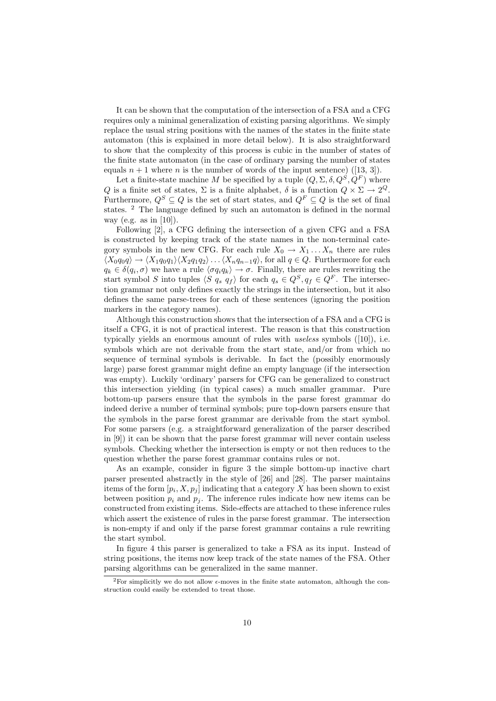It can be shown that the computation of the intersection of a FSA and a CFG requires only a minimal generalization of existing parsing algorithms. We simply replace the usual string positions with the names of the states in the finite state automaton (this is explained in more detail below). It is also straightforward to show that the complexity of this process is cubic in the number of states of the finite state automaton (in the case of ordinary parsing the number of states equals  $n + 1$  where n is the number of words of the input sentence) ([13, 3]).

Let a finite-state machine M be specified by a tuple  $(Q, \Sigma, \delta, Q^S, Q^F)$  where Q is a finite set of states,  $\Sigma$  is a finite alphabet,  $\delta$  is a function  $Q \times \Sigma \to 2^Q$ . Furthermore,  $Q^S \subseteq Q$  is the set of start states, and  $Q^F \subseteq Q$  is the set of final states. <sup>2</sup> The language defined by such an automaton is defined in the normal way (e.g. as in  $[10]$ ).

Following [2], a CFG defining the intersection of a given CFG and a FSA is constructed by keeping track of the state names in the non-terminal category symbols in the new CFG. For each rule  $X_0 \to X_1 \dots X_n$  there are rules  $\langle X_0q_0q\rangle \rightarrow \langle X_1q_0q_1\rangle \langle X_2q_1q_2\rangle \dots \langle X_nq_{n-1}q\rangle$ , for all  $q \in Q$ . Furthermore for each  $q_k \in \delta(q_i, \sigma)$  we have a rule  $\langle \sigma q_i q_k \rangle \to \sigma$ . Finally, there are rules rewriting the start symbol S into tuples  $\langle S \, q_s \, q_f \rangle$  for each  $q_s \in Q^S, q_f \in Q^F$ . The intersection grammar not only defines exactly the strings in the intersection, but it also defines the same parse-trees for each of these sentences (ignoring the position markers in the category names).

Although this construction shows that the intersection of a FSA and a CFG is itself a CFG, it is not of practical interest. The reason is that this construction typically yields an enormous amount of rules with useless symbols ([10]), i.e. symbols which are not derivable from the start state, and/or from which no sequence of terminal symbols is derivable. In fact the (possibly enormously large) parse forest grammar might define an empty language (if the intersection was empty). Luckily 'ordinary' parsers for CFG can be generalized to construct this intersection yielding (in typical cases) a much smaller grammar. Pure bottom-up parsers ensure that the symbols in the parse forest grammar do indeed derive a number of terminal symbols; pure top-down parsers ensure that the symbols in the parse forest grammar are derivable from the start symbol. For some parsers (e.g. a straightforward generalization of the parser described in [9]) it can be shown that the parse forest grammar will never contain useless symbols. Checking whether the intersection is empty or not then reduces to the question whether the parse forest grammar contains rules or not.

As an example, consider in figure 3 the simple bottom-up inactive chart parser presented abstractly in the style of [26] and [28]. The parser maintains items of the form  $[p_i, X, p_j]$  indicating that a category X has been shown to exist between position  $p_i$  and  $p_j$ . The inference rules indicate how new items can be constructed from existing items. Side-effects are attached to these inference rules which assert the existence of rules in the parse forest grammar. The intersection is non-empty if and only if the parse forest grammar contains a rule rewriting the start symbol.

In figure 4 this parser is generalized to take a FSA as its input. Instead of string positions, the items now keep track of the state names of the FSA. Other parsing algorithms can be generalized in the same manner.

<sup>&</sup>lt;sup>2</sup>For simplicitly we do not allow  $\epsilon$ -moves in the finite state automaton, although the construction could easily be extended to treat those.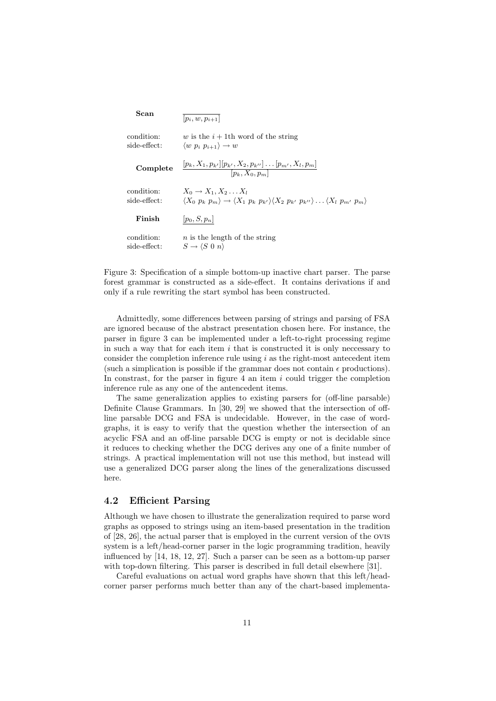| Scan         | $[p_i, w, p_{i+1}]$                                                                                                                                              |
|--------------|------------------------------------------------------------------------------------------------------------------------------------------------------------------|
| condition:   | w is the $i+1$ th word of the string                                                                                                                             |
| side-effect: | $\langle w p_i p_{i+1} \rangle \rightarrow w$                                                                                                                    |
| Complete     | $[p_k, X_1, p_{k'}][p_{k'}, X_2, p_{k''}] \dots [p_{m'}, X_l, p_m]$<br>$[p_k, X_0, p_m]$                                                                         |
| condition:   | $X_0 \rightarrow X_1, X_2, \ldots X_l$                                                                                                                           |
| side-effect: | $\langle X_0 \ p_k \ p_m \rangle \rightarrow \langle X_1 \ p_k \ p_{k'} \rangle \langle X_2 \ p_{k'} \ p_{k''} \rangle \dots \langle X_l \ p_{m'} \ p_m \rangle$ |
| Finish       | $[p_0, S, p_n]$                                                                                                                                                  |
| condition:   | $n$ is the length of the string                                                                                                                                  |
| side-effect: | $S \to \langle S \, 0 \, n \rangle$                                                                                                                              |

Figure 3: Specification of a simple bottom-up inactive chart parser. The parse forest grammar is constructed as a side-effect. It contains derivations if and only if a rule rewriting the start symbol has been constructed.

Admittedly, some differences between parsing of strings and parsing of FSA are ignored because of the abstract presentation chosen here. For instance, the parser in figure 3 can be implemented under a left-to-right processing regime in such a way that for each item  $i$  that is constructed it is only neccessary to consider the completion inference rule using  $i$  as the right-most antecedent item (such a simplication is possible if the grammar does not contain  $\epsilon$  productions). In constrast, for the parser in figure 4 an item  $i$  could trigger the completion inference rule as any one of the antencedent items.

The same generalization applies to existing parsers for (off-line parsable) Definite Clause Grammars. In [30, 29] we showed that the intersection of offline parsable DCG and FSA is undecidable. However, in the case of wordgraphs, it is easy to verify that the question whether the intersection of an acyclic FSA and an off-line parsable DCG is empty or not is decidable since it reduces to checking whether the DCG derives any one of a finite number of strings. A practical implementation will not use this method, but instead will use a generalized DCG parser along the lines of the generalizations discussed here.

#### 4.2 Efficient Parsing

Although we have chosen to illustrate the generalization required to parse word graphs as opposed to strings using an item-based presentation in the tradition of [28, 26], the actual parser that is employed in the current version of the ovis system is a left/head-corner parser in the logic programming tradition, heavily influenced by [14, 18, 12, 27]. Such a parser can be seen as a bottom-up parser with top-down filtering. This parser is described in full detail elsewhere [31].

Careful evaluations on actual word graphs have shown that this left/headcorner parser performs much better than any of the chart-based implementa-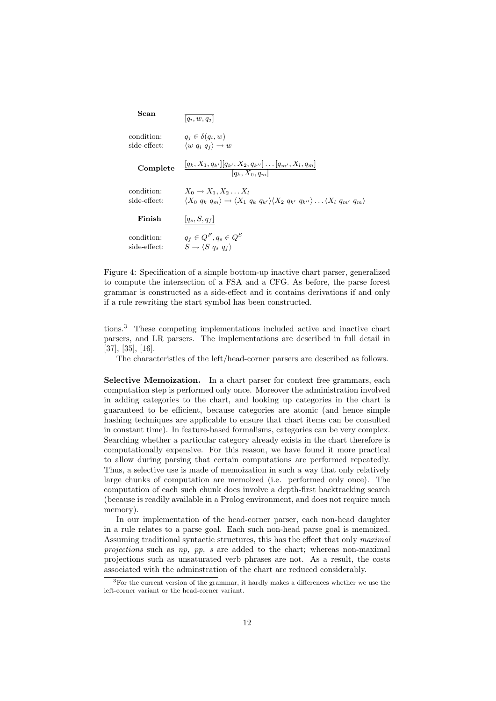| Scan         | $[q_i, w, q_i]$                                                                                                                                  |
|--------------|--------------------------------------------------------------------------------------------------------------------------------------------------|
| condition:   | $q_i \in \delta(q_i, w)$                                                                                                                         |
| side-effect: | $\langle w \ q_i \ q_i \rangle \rightarrow w$                                                                                                    |
| Complete     | $[q_k, X_1, q_{k'}][q_{k'}, X_2, q_{k''}] \dots [q_{m'}, X_l, q_m]$<br>$[q_k, X_0, q_m]$                                                         |
| condition:   | $X_0 \rightarrow X_1, X_2, \ldots X_l$                                                                                                           |
| side-effect: | $\langle X_0 q_k q_m \rangle \rightarrow \langle X_1 q_k q_{k'} \rangle \langle X_2 q_{k'} q_{k''} \rangle \dots \langle X_l q_{m'} q_m \rangle$ |
| Finish       | $[q_s, S, q_f]$                                                                                                                                  |
| condition:   | $q_f \in Q^F, q_s \in Q^S$                                                                                                                       |
| side-effect: | $S \rightarrow \langle S \ q_s \ q_f \rangle$                                                                                                    |

Figure 4: Specification of a simple bottom-up inactive chart parser, generalized to compute the intersection of a FSA and a CFG. As before, the parse forest grammar is constructed as a side-effect and it contains derivations if and only if a rule rewriting the start symbol has been constructed.

tions.<sup>3</sup> These competing implementations included active and inactive chart parsers, and LR parsers. The implementations are described in full detail in [37], [35], [16].

The characteristics of the left/head-corner parsers are described as follows.

Selective Memoization. In a chart parser for context free grammars, each computation step is performed only once. Moreover the administration involved in adding categories to the chart, and looking up categories in the chart is guaranteed to be efficient, because categories are atomic (and hence simple hashing techniques are applicable to ensure that chart items can be consulted in constant time). In feature-based formalisms, categories can be very complex. Searching whether a particular category already exists in the chart therefore is computationally expensive. For this reason, we have found it more practical to allow during parsing that certain computations are performed repeatedly. Thus, a selective use is made of memoization in such a way that only relatively large chunks of computation are memoized (i.e. performed only once). The computation of each such chunk does involve a depth-first backtracking search (because is readily available in a Prolog environment, and does not require much memory).

In our implementation of the head-corner parser, each non-head daughter in a rule relates to a parse goal. Each such non-head parse goal is memoized. Assuming traditional syntactic structures, this has the effect that only maximal projections such as  $np$ ,  $pp$ , s are added to the chart; whereas non-maximal projections such as unsaturated verb phrases are not. As a result, the costs associated with the adminstration of the chart are reduced considerably.

<sup>3</sup>For the current version of the grammar, it hardly makes a differences whether we use the left-corner variant or the head-corner variant.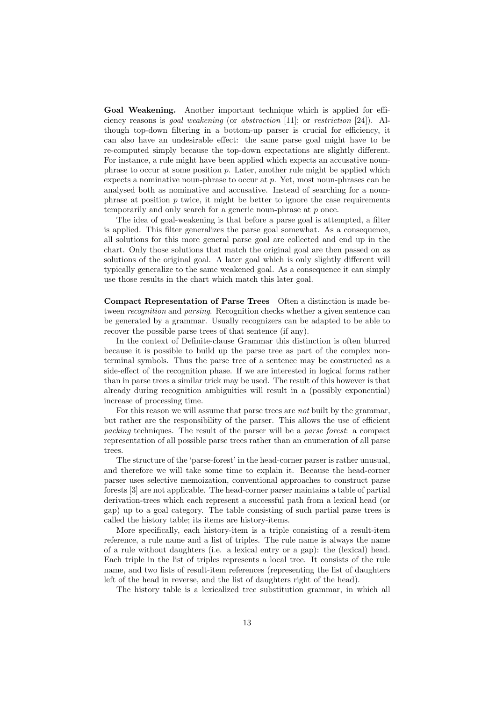Goal Weakening. Another important technique which is applied for efficiency reasons is *goal weakening* (or *abstraction* [11]; or *restriction* [24]). Although top-down filtering in a bottom-up parser is crucial for efficiency, it can also have an undesirable effect: the same parse goal might have to be re-computed simply because the top-down expectations are slightly different. For instance, a rule might have been applied which expects an accusative nounphrase to occur at some position  $p$ . Later, another rule might be applied which expects a nominative noun-phrase to occur at  $p$ . Yet, most noun-phrases can be analysed both as nominative and accusative. Instead of searching for a nounphrase at position  $p$  twice, it might be better to ignore the case requirements temporarily and only search for a generic noun-phrase at p once.

The idea of goal-weakening is that before a parse goal is attempted, a filter is applied. This filter generalizes the parse goal somewhat. As a consequence, all solutions for this more general parse goal are collected and end up in the chart. Only those solutions that match the original goal are then passed on as solutions of the original goal. A later goal which is only slightly different will typically generalize to the same weakened goal. As a consequence it can simply use those results in the chart which match this later goal.

Compact Representation of Parse Trees Often a distinction is made between *recognition* and *parsing*. Recognition checks whether a given sentence can be generated by a grammar. Usually recognizers can be adapted to be able to recover the possible parse trees of that sentence (if any).

In the context of Definite-clause Grammar this distinction is often blurred because it is possible to build up the parse tree as part of the complex nonterminal symbols. Thus the parse tree of a sentence may be constructed as a side-effect of the recognition phase. If we are interested in logical forms rather than in parse trees a similar trick may be used. The result of this however is that already during recognition ambiguities will result in a (possibly exponential) increase of processing time.

For this reason we will assume that parse trees are *not* built by the grammar, but rather are the responsibility of the parser. This allows the use of efficient packing techniques. The result of the parser will be a parse forest: a compact representation of all possible parse trees rather than an enumeration of all parse trees

The structure of the 'parse-forest' in the head-corner parser is rather unusual, and therefore we will take some time to explain it. Because the head-corner parser uses selective memoization, conventional approaches to construct parse forests [3] are not applicable. The head-corner parser maintains a table of partial derivation-trees which each represent a successful path from a lexical head (or gap) up to a goal category. The table consisting of such partial parse trees is called the history table; its items are history-items.

More specifically, each history-item is a triple consisting of a result-item reference, a rule name and a list of triples. The rule name is always the name of a rule without daughters (i.e. a lexical entry or a gap): the (lexical) head. Each triple in the list of triples represents a local tree. It consists of the rule name, and two lists of result-item references (representing the list of daughters left of the head in reverse, and the list of daughters right of the head).

The history table is a lexicalized tree substitution grammar, in which all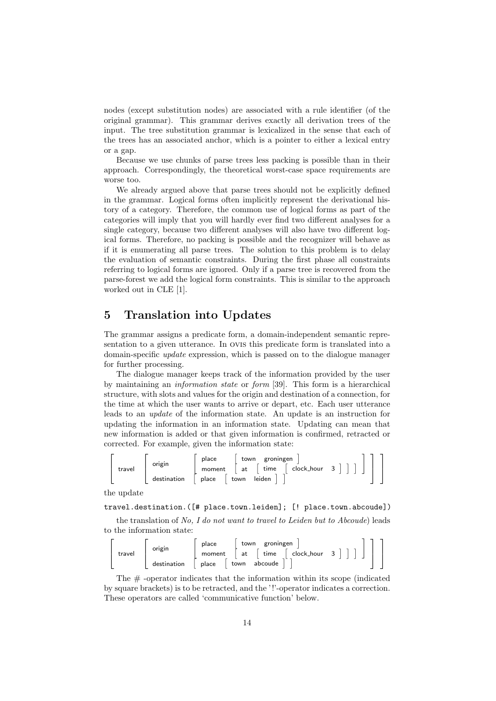nodes (except substitution nodes) are associated with a rule identifier (of the original grammar). This grammar derives exactly all derivation trees of the input. The tree substitution grammar is lexicalized in the sense that each of the trees has an associated anchor, which is a pointer to either a lexical entry or a gap.

Because we use chunks of parse trees less packing is possible than in their approach. Correspondingly, the theoretical worst-case space requirements are worse too.

We already argued above that parse trees should not be explicitly defined in the grammar. Logical forms often implicitly represent the derivational history of a category. Therefore, the common use of logical forms as part of the categories will imply that you will hardly ever find two different analyses for a single category, because two different analyses will also have two different logical forms. Therefore, no packing is possible and the recognizer will behave as if it is enumerating all parse trees. The solution to this problem is to delay the evaluation of semantic constraints. During the first phase all constraints referring to logical forms are ignored. Only if a parse tree is recovered from the parse-forest we add the logical form constraints. This is similar to the approach worked out in CLE [1].

# 5 Translation into Updates

The grammar assigns a predicate form, a domain-independent semantic representation to a given utterance. In ovis this predicate form is translated into a domain-specific update expression, which is passed on to the dialogue manager for further processing.

The dialogue manager keeps track of the information provided by the user by maintaining an information state or form [39]. This form is a hierarchical structure, with slots and values for the origin and destination of a connection, for the time at which the user wants to arrive or depart, etc. Each user utterance leads to an update of the information state. An update is an instruction for updating the information in an information state. Updating can mean that new information is added or that given information is confirmed, retracted or corrected. For example, given the information state:

| origin<br>clock hour<br>time<br>travel<br>at<br>moment<br>leiden<br>destination |  |
|---------------------------------------------------------------------------------|--|
|                                                                                 |  |
| town<br>place                                                                   |  |

the update

#### travel.destination.([# place.town.leiden]; [! place.town.abcoude])

the translation of No, I do not want to travel to Leiden but to Abcoude) leads to the information state:

|        |             |        | town | groningen |            |  |  |
|--------|-------------|--------|------|-----------|------------|--|--|
| travel | origin      | moment | at   | time      | clock hour |  |  |
|        | destination | place  | town | abcoude   |            |  |  |

The  $\#$  -operator indicates that the information within its scope (indicated by square brackets) is to be retracted, and the '!'-operator indicates a correction. These operators are called 'communicative function' below.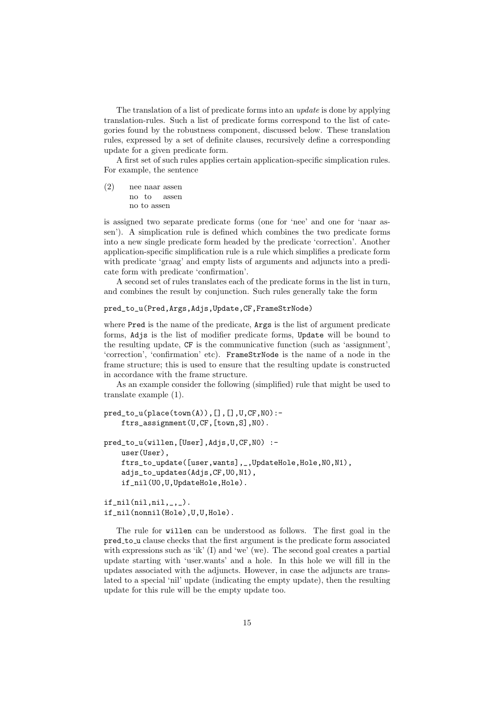The translation of a list of predicate forms into an update is done by applying translation-rules. Such a list of predicate forms correspond to the list of categories found by the robustness component, discussed below. These translation rules, expressed by a set of definite clauses, recursively define a corresponding update for a given predicate form.

A first set of such rules applies certain application-specific simplication rules. For example, the sentence

(2) nee naar assen no to assen no to assen

is assigned two separate predicate forms (one for 'nee' and one for 'naar assen'). A simplication rule is defined which combines the two predicate forms into a new single predicate form headed by the predicate 'correction'. Another application-specific simplification rule is a rule which simplifies a predicate form with predicate 'graag' and empty lists of arguments and adjuncts into a predicate form with predicate 'confirmation'.

A second set of rules translates each of the predicate forms in the list in turn, and combines the result by conjunction. Such rules generally take the form

pred\_to\_u(Pred,Args,Adjs,Update,CF,FrameStrNode)

where Pred is the name of the predicate,  $\arg\min$  is the list of argument predicate forms, Adjs is the list of modifier predicate forms, Update will be bound to the resulting update, CF is the communicative function (such as 'assignment', 'correction', 'confirmation' etc). FrameStrNode is the name of a node in the frame structure; this is used to ensure that the resulting update is constructed in accordance with the frame structure.

As an example consider the following (simplified) rule that might be used to translate example (1).

```
pred_to_u(place(town(A)),[],[],U,CF,N0):-
    ftrs_assignment(U,CF,[town,S],N0).
```

```
pred_to_u(willen,[User],Adjs,U,CF,N0) :-
    user(User),
    ftrs_to_update([user,wants],_,UpdateHole,Hole,N0,N1),
    adjs_to_updates(Adjs,CF,U0,N1),
    if_nil(U0,U,UpdateHole,Hole).
```

```
if\_nil(nil,nil,\_,\_).
if_nil(nonnil(Hole),U,U,Hole).
```
The rule for willen can be understood as follows. The first goal in the pred to u clause checks that the first argument is the predicate form associated with expressions such as 'ik' (I) and 'we' (we). The second goal creates a partial update starting with 'user.wants' and a hole. In this hole we will fill in the updates associated with the adjuncts. However, in case the adjuncts are translated to a special 'nil' update (indicating the empty update), then the resulting update for this rule will be the empty update too.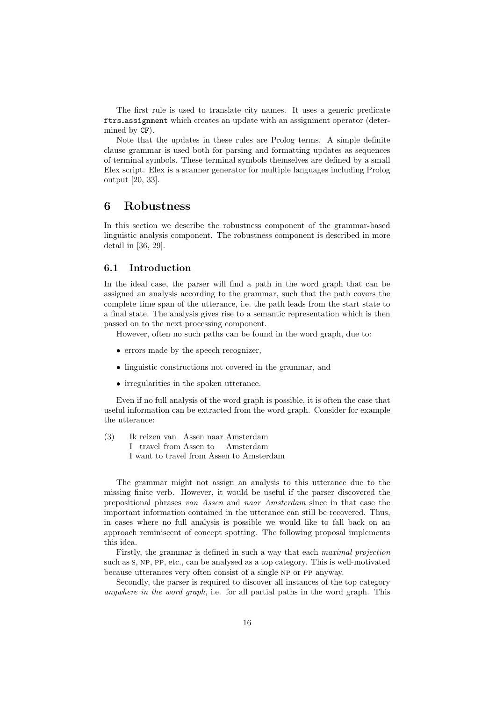The first rule is used to translate city names. It uses a generic predicate ftrs assignment which creates an update with an assignment operator (determined by CF).

Note that the updates in these rules are Prolog terms. A simple definite clause grammar is used both for parsing and formatting updates as sequences of terminal symbols. These terminal symbols themselves are defined by a small Elex script. Elex is a scanner generator for multiple languages including Prolog output [20, 33].

### 6 Robustness

In this section we describe the robustness component of the grammar-based linguistic analysis component. The robustness component is described in more detail in [36, 29].

#### 6.1 Introduction

In the ideal case, the parser will find a path in the word graph that can be assigned an analysis according to the grammar, such that the path covers the complete time span of the utterance, i.e. the path leads from the start state to a final state. The analysis gives rise to a semantic representation which is then passed on to the next processing component.

However, often no such paths can be found in the word graph, due to:

- errors made by the speech recognizer,
- linguistic constructions not covered in the grammar, and
- irregularities in the spoken utterance.

Even if no full analysis of the word graph is possible, it is often the case that useful information can be extracted from the word graph. Consider for example the utterance:

 $(3)$ I travel from Assen to Amsterdam reizen van Assen naar Amsterdam I want to travel from Assen to Amsterdam

The grammar might not assign an analysis to this utterance due to the missing finite verb. However, it would be useful if the parser discovered the prepositional phrases van Assen and naar Amsterdam since in that case the important information contained in the utterance can still be recovered. Thus, in cases where no full analysis is possible we would like to fall back on an approach reminiscent of concept spotting. The following proposal implements this idea.

Firstly, the grammar is defined in such a way that each maximal projection such as s, np, pp, etc., can be analysed as a top category. This is well-motivated because utterances very often consist of a single NP or PP anyway.

Secondly, the parser is required to discover all instances of the top category anywhere in the word graph, i.e. for all partial paths in the word graph. This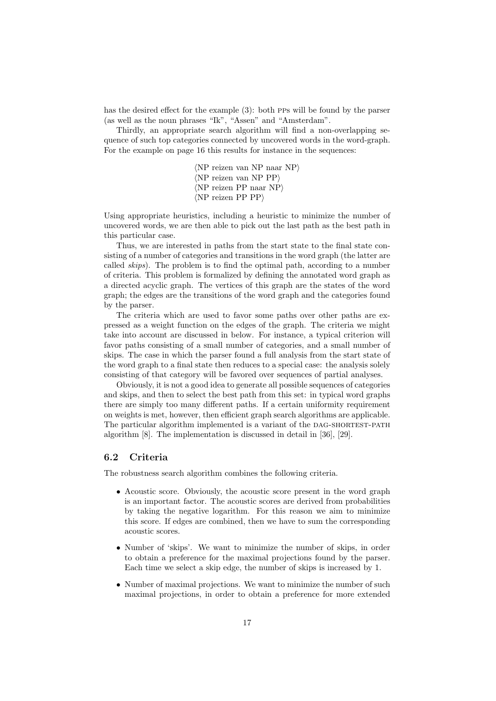has the desired effect for the example (3): both PPs will be found by the parser (as well as the noun phrases "Ik", "Assen" and "Amsterdam".

Thirdly, an appropriate search algorithm will find a non-overlapping sequence of such top categories connected by uncovered words in the word-graph. For the example on page 16 this results for instance in the sequences:

> $\langle NP$  reizen van NP naar NP $\rangle$  $\langle NP$  reizen van NP PP $\rangle$  $\langle NP$  reizen PP naar NP $\rangle$  $\langle NP$  reizen PP PP $\rangle$

Using appropriate heuristics, including a heuristic to minimize the number of uncovered words, we are then able to pick out the last path as the best path in this particular case.

Thus, we are interested in paths from the start state to the final state consisting of a number of categories and transitions in the word graph (the latter are called skips). The problem is to find the optimal path, according to a number of criteria. This problem is formalized by defining the annotated word graph as a directed acyclic graph. The vertices of this graph are the states of the word graph; the edges are the transitions of the word graph and the categories found by the parser.

The criteria which are used to favor some paths over other paths are expressed as a weight function on the edges of the graph. The criteria we might take into account are discussed in below. For instance, a typical criterion will favor paths consisting of a small number of categories, and a small number of skips. The case in which the parser found a full analysis from the start state of the word graph to a final state then reduces to a special case: the analysis solely consisting of that category will be favored over sequences of partial analyses.

Obviously, it is not a good idea to generate all possible sequences of categories and skips, and then to select the best path from this set: in typical word graphs there are simply too many different paths. If a certain uniformity requirement on weights is met, however, then efficient graph search algorithms are applicable. The particular algorithm implemented is a variant of the DAG-SHORTEST-PATH algorithm [8]. The implementation is discussed in detail in [36], [29].

#### 6.2 Criteria

The robustness search algorithm combines the following criteria.

- Acoustic score. Obviously, the acoustic score present in the word graph is an important factor. The acoustic scores are derived from probabilities by taking the negative logarithm. For this reason we aim to minimize this score. If edges are combined, then we have to sum the corresponding acoustic scores.
- Number of 'skips'. We want to minimize the number of skips, in order to obtain a preference for the maximal projections found by the parser. Each time we select a skip edge, the number of skips is increased by 1.
- Number of maximal projections. We want to minimize the number of such maximal projections, in order to obtain a preference for more extended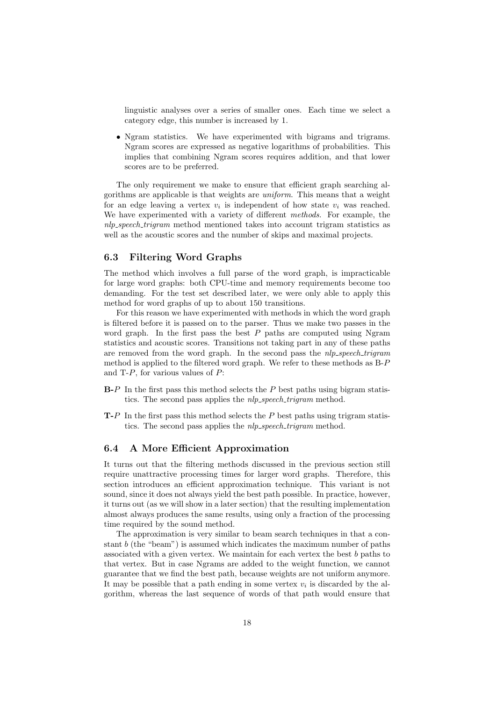linguistic analyses over a series of smaller ones. Each time we select a category edge, this number is increased by 1.

• Ngram statistics. We have experimented with bigrams and trigrams. Ngram scores are expressed as negative logarithms of probabilities. This implies that combining Ngram scores requires addition, and that lower scores are to be preferred.

The only requirement we make to ensure that efficient graph searching algorithms are applicable is that weights are uniform. This means that a weight for an edge leaving a vertex  $v_i$  is independent of how state  $v_i$  was reached. We have experimented with a variety of different *methods*. For example, the nlp speech trigram method mentioned takes into account trigram statistics as well as the acoustic scores and the number of skips and maximal projects.

#### 6.3 Filtering Word Graphs

The method which involves a full parse of the word graph, is impracticable for large word graphs: both CPU-time and memory requirements become too demanding. For the test set described later, we were only able to apply this method for word graphs of up to about 150 transitions.

For this reason we have experimented with methods in which the word graph is filtered before it is passed on to the parser. Thus we make two passes in the word graph. In the first pass the best  $P$  paths are computed using Ngram statistics and acoustic scores. Transitions not taking part in any of these paths are removed from the word graph. In the second pass the  $nlp\_speed\_trigram$ method is applied to the filtered word graph. We refer to these methods as B-P and  $T-P$ , for various values of  $P$ :

- $\mathbf{B}-P$  In the first pass this method selects the P best paths using bigram statistics. The second pass applies the *nlp\_speech\_trigram* method.
- $T-P$  In the first pass this method selects the P best paths using trigram statistics. The second pass applies the *nlp\_speech\_trigram* method.

#### 6.4 A More Efficient Approximation

It turns out that the filtering methods discussed in the previous section still require unattractive processing times for larger word graphs. Therefore, this section introduces an efficient approximation technique. This variant is not sound, since it does not always yield the best path possible. In practice, however, it turns out (as we will show in a later section) that the resulting implementation almost always produces the same results, using only a fraction of the processing time required by the sound method.

The approximation is very similar to beam search techniques in that a constant b (the "beam") is assumed which indicates the maximum number of paths associated with a given vertex. We maintain for each vertex the best  $b$  paths to that vertex. But in case Ngrams are added to the weight function, we cannot guarantee that we find the best path, because weights are not uniform anymore. It may be possible that a path ending in some vertex  $v_i$  is discarded by the algorithm, whereas the last sequence of words of that path would ensure that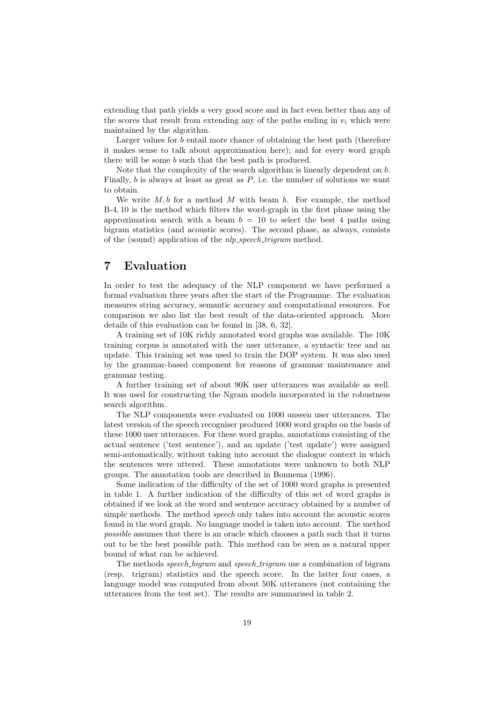extending that path yields a very good score and in fact even better than any of the scores that result from extending any of the paths ending in  $v_i$  which were maintained by the algorithm.

Larger values for  $b$  entail more chance of obtaining the best path (therefore it makes sense to talk about approximation here); and for every word graph there will be some b such that the best path is produced.

Note that the complexity of the search algorithm is linearly dependent on b. Finally,  $b$  is always at least as great as  $P$ , i.e. the number of solutions we want to obtain.

We write  $M, b$  for a method  $M$  with beam  $b$ . For example, the method B-4, 10 is the method which filters the word-graph in the first phase using the approximation search with a beam  $b = 10$  to select the best 4 paths using bigram statistics (and acoustic scores). The second phase, as always, consists of the (sound) application of the *nlp\_speech\_trigram* method.

### 7 Evaluation

In order to test the adequacy of the NLP component we have performed a formal evaluation three years after the start of the Programme. The evaluation measures string accuracy, semantic accuracy and computational resources. For comparison we also list the best result of the data-oriented approach. More details of this evaluation can be found in [38, 6, 32].

A training set of 10K richly annotated word graphs was available. The 10K training corpus is annotated with the user utterance, a syntactic tree and an update. This training set was used to train the DOP system. It was also used by the grammar-based component for reasons of grammar maintenance and grammar testing.

A further training set of about 90K user utterances was available as well. It was used for constructing the Ngram models incorporated in the robustness search algorithm.

The NLP components were evaluated on 1000 unseen user utterances. The latest version of the speech recogniser produced 1000 word graphs on the basis of these 1000 user utterances. For these word graphs, annotations consisting of the actual sentence ('test sentence'), and an update ('test update') were assigned semi-automatically, without taking into account the dialogue context in which the sentences were uttered. These annotations were unknown to both NLP groups. The annotation tools are described in Bonnema (1996).

Some indication of the difficulty of the set of 1000 word graphs is presented in table 1. A further indication of the difficulty of this set of word graphs is obtained if we look at the word and sentence accuracy obtained by a number of simple methods. The method *speech* only takes into account the acoustic scores found in the word graph. No language model is taken into account. The method possible assumes that there is an oracle which chooses a path such that it turns out to be the best possible path. This method can be seen as a natural upper bound of what can be achieved.

The methods *speech bigram* and *speech trigram* use a combination of bigram (resp. trigram) statistics and the speech score. In the latter four cases, a language model was computed from about 50K utterances (not containing the utterances from the test set). The results are summarised in table 2.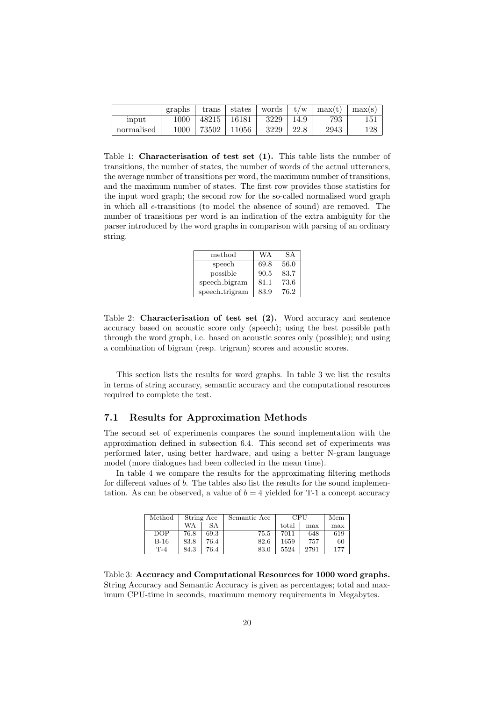|            | graphs   | trans | states | words | / w  | max  | max(s) |
|------------|----------|-------|--------|-------|------|------|--------|
| input      | $1000\,$ | 48215 | 16181  | 3229  | 14.9 | 793  | 151    |
| normalised | 1000     | 73502 | 11056  | 3229  | 22.8 | 2943 | 128    |

Table 1: Characterisation of test set (1). This table lists the number of transitions, the number of states, the number of words of the actual utterances, the average number of transitions per word, the maximum number of transitions, and the maximum number of states. The first row provides those statistics for the input word graph; the second row for the so-called normalised word graph in which all  $\epsilon$ -transitions (to model the absence of sound) are removed. The number of transitions per word is an indication of the extra ambiguity for the parser introduced by the word graphs in comparison with parsing of an ordinary string.

| method         | WA   | <b>SA</b> |
|----------------|------|-----------|
| speech         | 69.8 | 56.0      |
| possible       | 90.5 | 83.7      |
| speech bigram  | 81.1 | 73.6      |
| speech_trigram | 83.9 | 76.2      |

Table 2: Characterisation of test set (2). Word accuracy and sentence accuracy based on acoustic score only (speech); using the best possible path through the word graph, i.e. based on acoustic scores only (possible); and using a combination of bigram (resp. trigram) scores and acoustic scores.

This section lists the results for word graphs. In table 3 we list the results in terms of string accuracy, semantic accuracy and the computational resources required to complete the test.

#### 7.1 Results for Approximation Methods

The second set of experiments compares the sound implementation with the approximation defined in subsection 6.4. This second set of experiments was performed later, using better hardware, and using a better N-gram language model (more dialogues had been collected in the mean time).

In table 4 we compare the results for the approximating filtering methods for different values of b. The tables also list the results for the sound implementation. As can be observed, a value of  $b = 4$  yielded for T-1 a concept accuracy

| Method     |      | String Acc | Semantic Acc | <b>CPU</b> |      | Mem |
|------------|------|------------|--------------|------------|------|-----|
|            | WA   | SА         |              | total      | max  | max |
| <b>DOP</b> | 76.8 | 69.3       | 75.5         | 7011       | 648  | 619 |
| $B-16$     | 83.8 | 76.4       | 82.6         | 1659       | 757  | 60  |
| $T-4$      | 84.3 | 76.4       | 83.0         | 5524       | 2791 | 177 |

Table 3: Accuracy and Computational Resources for 1000 word graphs. String Accuracy and Semantic Accuracy is given as percentages; total and maximum CPU-time in seconds, maximum memory requirements in Megabytes.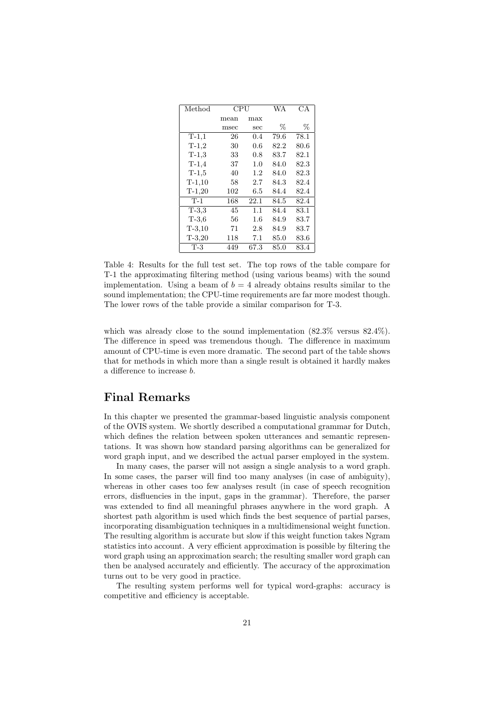| Method   | CPU  |      | WA   | CА   |
|----------|------|------|------|------|
|          | mean | max  |      |      |
|          | msec | sec  | %    | %    |
| $T-1,1$  | 26   | 0.4  | 79.6 | 78.1 |
| $T-1,2$  | 30   | 0.6  | 82.2 | 80.6 |
| $T-1,3$  | 33   | 0.8  | 83.7 | 82.1 |
| $T-1,4$  | 37   | 1.0  | 84.0 | 82.3 |
| $T-1.5$  | 40   | 1.2  | 84.0 | 82.3 |
| $T-1,10$ | 58   | 2.7  | 84.3 | 82.4 |
| $T-1,20$ | 102  | 6.5  | 84.4 | 82.4 |
| $T-1$    | 168  | 22.1 | 84.5 | 82.4 |
| $T-3.3$  | 45   | 1.1  | 84.4 | 83.1 |
| $T-3.6$  | 56   | 1.6  | 84.9 | 83.7 |
| $T-3,10$ | 71   | 2.8  | 84.9 | 83.7 |
| $T-3,20$ | 118  | 7.1  | 85.0 | 83.6 |
| $T-3$    | 449  | 67.3 | 85.0 | 83.4 |

Table 4: Results for the full test set. The top rows of the table compare for T-1 the approximating filtering method (using various beams) with the sound implementation. Using a beam of  $b = 4$  already obtains results similar to the sound implementation; the CPU-time requirements are far more modest though. The lower rows of the table provide a similar comparison for T-3.

which was already close to the sound implementation  $(82.3\% \text{ versus } 82.4\%)$ . The difference in speed was tremendous though. The difference in maximum amount of CPU-time is even more dramatic. The second part of the table shows that for methods in which more than a single result is obtained it hardly makes a difference to increase b.

# Final Remarks

In this chapter we presented the grammar-based linguistic analysis component of the OVIS system. We shortly described a computational grammar for Dutch, which defines the relation between spoken utterances and semantic representations. It was shown how standard parsing algorithms can be generalized for word graph input, and we described the actual parser employed in the system.

In many cases, the parser will not assign a single analysis to a word graph. In some cases, the parser will find too many analyses (in case of ambiguity), whereas in other cases too few analyses result (in case of speech recognition errors, disfluencies in the input, gaps in the grammar). Therefore, the parser was extended to find all meaningful phrases anywhere in the word graph. A shortest path algorithm is used which finds the best sequence of partial parses, incorporating disambiguation techniques in a multidimensional weight function. The resulting algorithm is accurate but slow if this weight function takes Ngram statistics into account. A very efficient approximation is possible by filtering the word graph using an approximation search; the resulting smaller word graph can then be analysed accurately and efficiently. The accuracy of the approximation turns out to be very good in practice.

The resulting system performs well for typical word-graphs: accuracy is competitive and efficiency is acceptable.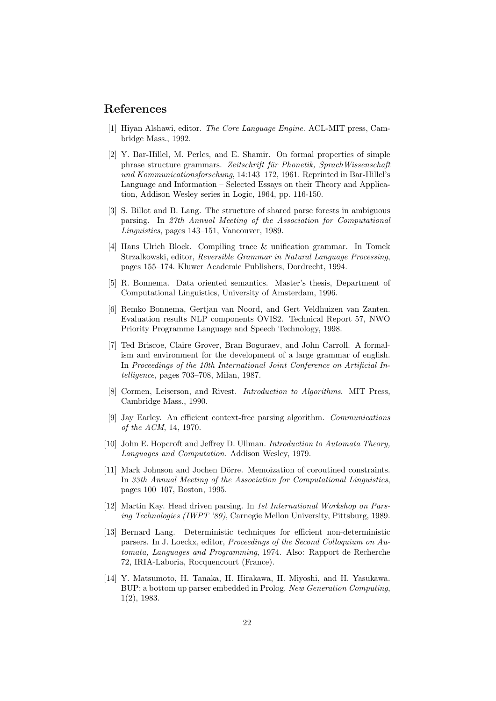### References

- [1] Hiyan Alshawi, editor. The Core Language Engine. ACL-MIT press, Cambridge Mass., 1992.
- [2] Y. Bar-Hillel, M. Perles, and E. Shamir. On formal properties of simple phrase structure grammars. Zeitschrift für Phonetik, SprachWissenschaft und Kommunicationsforschung, 14:143–172, 1961. Reprinted in Bar-Hillel's Language and Information – Selected Essays on their Theory and Application, Addison Wesley series in Logic, 1964, pp. 116-150.
- [3] S. Billot and B. Lang. The structure of shared parse forests in ambiguous parsing. In 27th Annual Meeting of the Association for Computational Linguistics, pages 143–151, Vancouver, 1989.
- [4] Hans Ulrich Block. Compiling trace & unification grammar. In Tomek Strzalkowski, editor, Reversible Grammar in Natural Language Processing, pages 155–174. Kluwer Academic Publishers, Dordrecht, 1994.
- [5] R. Bonnema. Data oriented semantics. Master's thesis, Department of Computational Linguistics, University of Amsterdam, 1996.
- [6] Remko Bonnema, Gertjan van Noord, and Gert Veldhuizen van Zanten. Evaluation results NLP components OVIS2. Technical Report 57, NWO Priority Programme Language and Speech Technology, 1998.
- [7] Ted Briscoe, Claire Grover, Bran Boguraev, and John Carroll. A formalism and environment for the development of a large grammar of english. In Proceedings of the 10th International Joint Conference on Artificial Intelligence, pages 703–708, Milan, 1987.
- [8] Cormen, Leiserson, and Rivest. Introduction to Algorithms. MIT Press, Cambridge Mass., 1990.
- [9] Jay Earley. An efficient context-free parsing algorithm. Communications of the ACM, 14, 1970.
- [10] John E. Hopcroft and Jeffrey D. Ullman. Introduction to Automata Theory, Languages and Computation. Addison Wesley, 1979.
- [11] Mark Johnson and Jochen Dörre. Memoization of coroutined constraints. In 33th Annual Meeting of the Association for Computational Linguistics, pages 100–107, Boston, 1995.
- [12] Martin Kay. Head driven parsing. In 1st International Workshop on Parsing Technologies (IWPT '89), Carnegie Mellon University, Pittsburg, 1989.
- [13] Bernard Lang. Deterministic techniques for efficient non-deterministic parsers. In J. Loeckx, editor, Proceedings of the Second Colloquium on Automata, Languages and Programming, 1974. Also: Rapport de Recherche 72, IRIA-Laboria, Rocquencourt (France).
- [14] Y. Matsumoto, H. Tanaka, H. Hirakawa, H. Miyoshi, and H. Yasukawa. BUP: a bottom up parser embedded in Prolog. New Generation Computing, 1(2), 1983.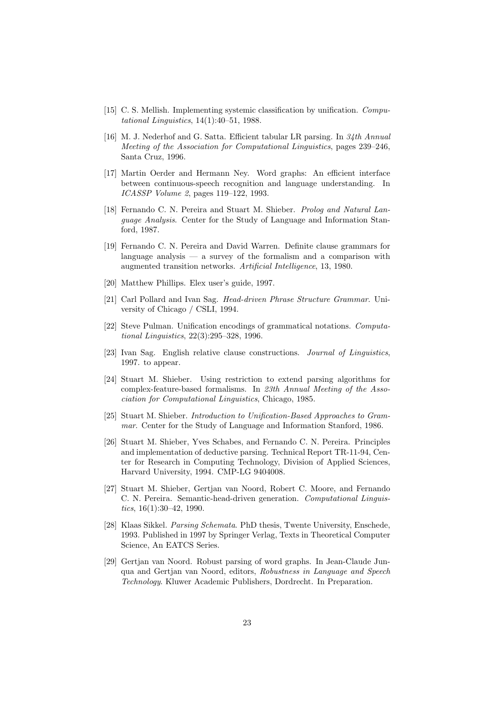- [15] C. S. Mellish. Implementing systemic classification by unification. Computational Linguistics, 14(1):40–51, 1988.
- [16] M. J. Nederhof and G. Satta. Efficient tabular LR parsing. In 34th Annual Meeting of the Association for Computational Linguistics, pages 239–246, Santa Cruz, 1996.
- [17] Martin Oerder and Hermann Ney. Word graphs: An efficient interface between continuous-speech recognition and language understanding. In ICASSP Volume 2, pages 119–122, 1993.
- [18] Fernando C. N. Pereira and Stuart M. Shieber. Prolog and Natural Language Analysis. Center for the Study of Language and Information Stanford, 1987.
- [19] Fernando C. N. Pereira and David Warren. Definite clause grammars for language analysis  $-$  a survey of the formalism and a comparison with augmented transition networks. Artificial Intelligence, 13, 1980.
- [20] Matthew Phillips. Elex user's guide, 1997.
- [21] Carl Pollard and Ivan Sag. Head-driven Phrase Structure Grammar. University of Chicago / CSLI, 1994.
- [22] Steve Pulman. Unification encodings of grammatical notations. Computational Linguistics, 22(3):295–328, 1996.
- [23] Ivan Sag. English relative clause constructions. Journal of Linguistics, 1997. to appear.
- [24] Stuart M. Shieber. Using restriction to extend parsing algorithms for complex-feature-based formalisms. In 23th Annual Meeting of the Association for Computational Linguistics, Chicago, 1985.
- [25] Stuart M. Shieber. Introduction to Unification-Based Approaches to Grammar. Center for the Study of Language and Information Stanford, 1986.
- [26] Stuart M. Shieber, Yves Schabes, and Fernando C. N. Pereira. Principles and implementation of deductive parsing. Technical Report TR-11-94, Center for Research in Computing Technology, Division of Applied Sciences, Harvard University, 1994. CMP-LG 9404008.
- [27] Stuart M. Shieber, Gertjan van Noord, Robert C. Moore, and Fernando C. N. Pereira. Semantic-head-driven generation. Computational Linguistics, 16(1):30–42, 1990.
- [28] Klaas Sikkel. Parsing Schemata. PhD thesis, Twente University, Enschede, 1993. Published in 1997 by Springer Verlag, Texts in Theoretical Computer Science, An EATCS Series.
- [29] Gertjan van Noord. Robust parsing of word graphs. In Jean-Claude Junqua and Gertjan van Noord, editors, Robustness in Language and Speech Technology. Kluwer Academic Publishers, Dordrecht. In Preparation.